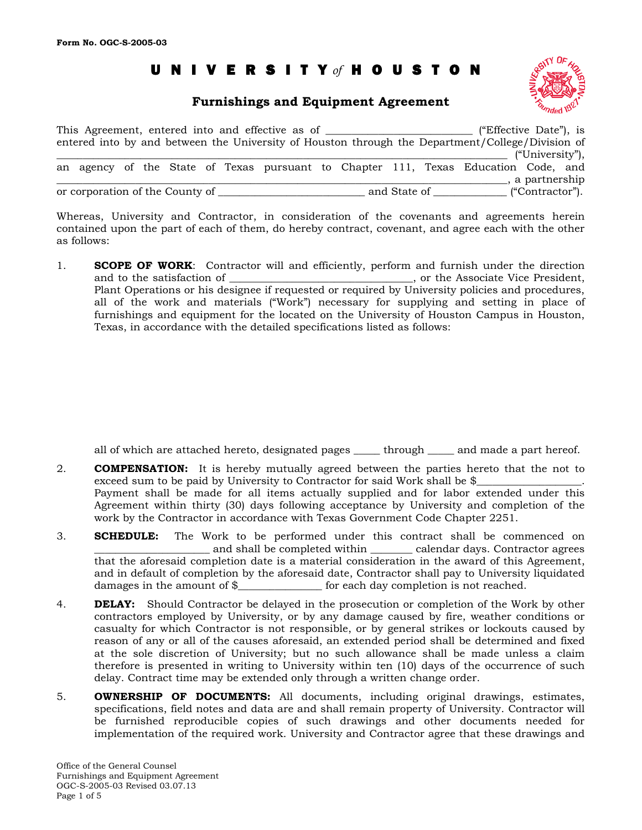# UNIVERSIT Y *of* HOUSTON

# **Furnishings and Equipment Agreement**



|                                 |  |  | This Agreement, entered into and effective as of |  |              | ("Effective Date"), is<br>entered into by and between the University of Houston through the Department/College/Division of |                                  |  |
|---------------------------------|--|--|--------------------------------------------------|--|--------------|----------------------------------------------------------------------------------------------------------------------------|----------------------------------|--|
|                                 |  |  |                                                  |  |              | an agency of the State of Texas pursuant to Chapter 111, Texas Education Code, and                                         | ("University"),<br>a partnership |  |
| or corporation of the County of |  |  |                                                  |  | and State of |                                                                                                                            | ("Contractor").                  |  |

Whereas, University and Contractor, in consideration of the covenants and agreements herein contained upon the part of each of them, do hereby contract, covenant, and agree each with the other as follows:

1. **SCOPE OF WORK**: Contractor will and efficiently, perform and furnish under the direction and to the satisfaction of  $\Box$  . The Associate Vice President, Plant Operations or his designee if requested or required by University policies and procedures, all of the work and materials ("Work") necessary for supplying and setting in place of furnishings and equipment for the located on the University of Houston Campus in Houston, Texas, in accordance with the detailed specifications listed as follows:

all of which are attached hereto, designated pages \_\_\_\_\_\_ through \_\_\_\_\_ and made a part hereof.

- 2. **COMPENSATION:** It is hereby mutually agreed between the parties hereto that the not to exceed sum to be paid by University to Contractor for said Work shall be \$ Payment shall be made for all items actually supplied and for labor extended under this Agreement within thirty (30) days following acceptance by University and completion of the work by the Contractor in accordance with Texas Government Code Chapter 2251.
- 3. **SCHEDULE:** The Work to be performed under this contract shall be commenced on and shall be completed within \_\_\_\_\_\_\_\_ calendar days. Contractor agrees that the aforesaid completion date is a material consideration in the award of this Agreement, and in default of completion by the aforesaid date, Contractor shall pay to University liquidated damages in the amount of \$\_\_\_\_\_\_\_\_\_\_\_\_\_\_\_\_\_\_\_\_ for each day completion is not reached.  $\_$  for each day completion is not reached.
- 4. **DELAY:** Should Contractor be delayed in the prosecution or completion of the Work by other contractors employed by University, or by any damage caused by fire, weather conditions or casualty for which Contractor is not responsible, or by general strikes or lockouts caused by reason of any or all of the causes aforesaid, an extended period shall be determined and fixed at the sole discretion of University; but no such allowance shall be made unless a claim therefore is presented in writing to University within ten (10) days of the occurrence of such delay. Contract time may be extended only through a written change order.
- 5. **OWNERSHIP OF DOCUMENTS:** All documents, including original drawings, estimates, specifications, field notes and data are and shall remain property of University. Contractor will be furnished reproducible copies of such drawings and other documents needed for implementation of the required work. University and Contractor agree that these drawings and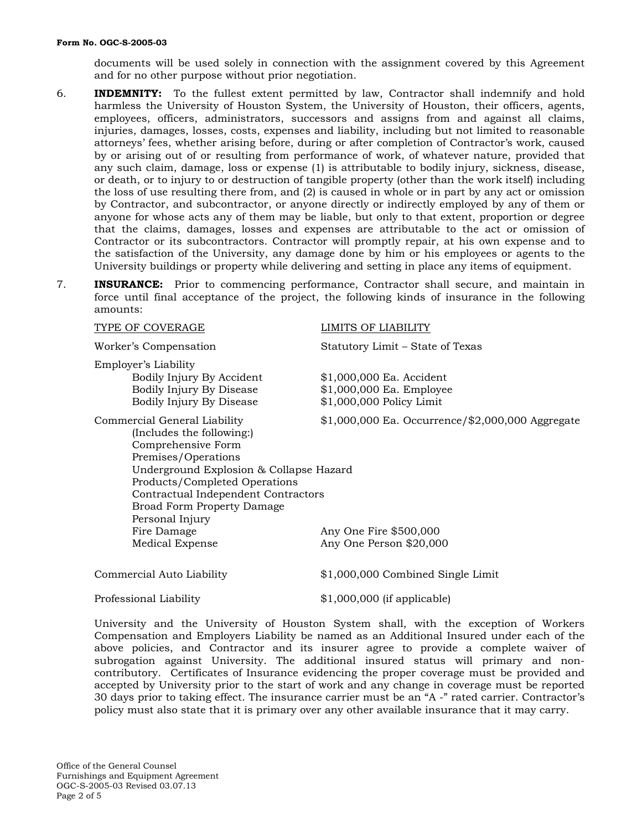documents will be used solely in connection with the assignment covered by this Agreement and for no other purpose without prior negotiation.

- 6. **INDEMNITY:** To the fullest extent permitted by law, Contractor shall indemnify and hold harmless the University of Houston System, the University of Houston, their officers, agents, employees, officers, administrators, successors and assigns from and against all claims, injuries, damages, losses, costs, expenses and liability, including but not limited to reasonable attorneys' fees, whether arising before, during or after completion of Contractor's work, caused by or arising out of or resulting from performance of work, of whatever nature, provided that any such claim, damage, loss or expense (1) is attributable to bodily injury, sickness, disease, or death, or to injury to or destruction of tangible property (other than the work itself) including the loss of use resulting there from, and (2) is caused in whole or in part by any act or omission by Contractor, and subcontractor, or anyone directly or indirectly employed by any of them or anyone for whose acts any of them may be liable, but only to that extent, proportion or degree that the claims, damages, losses and expenses are attributable to the act or omission of Contractor or its subcontractors. Contractor will promptly repair, at his own expense and to the satisfaction of the University, any damage done by him or his employees or agents to the University buildings or property while delivering and setting in place any items of equipment.
- 7. **INSURANCE:** Prior to commencing performance, Contractor shall secure, and maintain in force until final acceptance of the project, the following kinds of insurance in the following amounts:

| TYPE OF COVERAGE                                                                                                                                                                                                                                                                  | LIMITS OF LIABILITY                                                              |
|-----------------------------------------------------------------------------------------------------------------------------------------------------------------------------------------------------------------------------------------------------------------------------------|----------------------------------------------------------------------------------|
| Worker's Compensation                                                                                                                                                                                                                                                             | Statutory Limit - State of Texas                                                 |
| Employer's Liability<br>Bodily Injury By Accident<br>Bodily Injury By Disease<br>Bodily Injury By Disease                                                                                                                                                                         | \$1,000,000 Ea. Accident<br>\$1,000,000 Ea. Employee<br>\$1,000,000 Policy Limit |
| Commercial General Liability<br>(Includes the following:)<br>Comprehensive Form<br>Premises/Operations<br>Underground Explosion & Collapse Hazard<br>Products/Completed Operations<br>Contractual Independent Contractors<br><b>Broad Form Property Damage</b><br>Personal Injury | $$1,000,000$ Ea. Occurrence/ $$2,000,000$ Aggregate                              |
| Fire Damage<br><b>Medical Expense</b>                                                                                                                                                                                                                                             | Any One Fire \$500,000<br>Any One Person \$20,000                                |
| Commercial Auto Liability                                                                                                                                                                                                                                                         | \$1,000,000 Combined Single Limit                                                |
| Professional Liability                                                                                                                                                                                                                                                            | \$1,000,000 (if applicable)                                                      |

University and the University of Houston System shall, with the exception of Workers Compensation and Employers Liability be named as an Additional Insured under each of the above policies, and Contractor and its insurer agree to provide a complete waiver of subrogation against University. The additional insured status will primary and noncontributory. Certificates of Insurance evidencing the proper coverage must be provided and accepted by University prior to the start of work and any change in coverage must be reported 30 days prior to taking effect. The insurance carrier must be an "A -" rated carrier. Contractor's policy must also state that it is primary over any other available insurance that it may carry.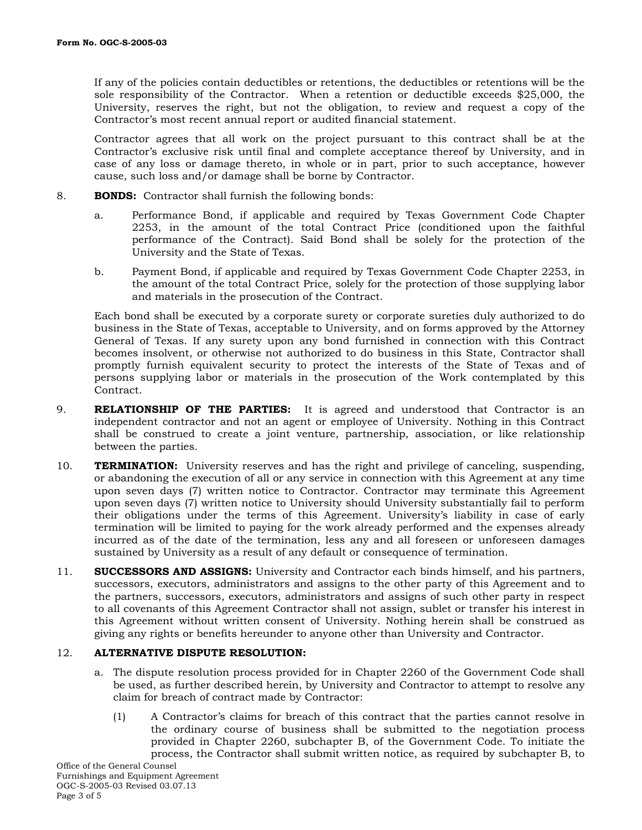If any of the policies contain deductibles or retentions, the deductibles or retentions will be the sole responsibility of the Contractor. When a retention or deductible exceeds \$25,000, the University, reserves the right, but not the obligation, to review and request a copy of the Contractor's most recent annual report or audited financial statement.

Contractor agrees that all work on the project pursuant to this contract shall be at the Contractor's exclusive risk until final and complete acceptance thereof by University, and in case of any loss or damage thereto, in whole or in part, prior to such acceptance, however cause, such loss and/or damage shall be borne by Contractor.

- 8. **BONDS:** Contractor shall furnish the following bonds:
	- a. Performance Bond, if applicable and required by Texas Government Code Chapter 2253, in the amount of the total Contract Price (conditioned upon the faithful performance of the Contract). Said Bond shall be solely for the protection of the University and the State of Texas.
	- b. Payment Bond, if applicable and required by Texas Government Code Chapter 2253, in the amount of the total Contract Price, solely for the protection of those supplying labor and materials in the prosecution of the Contract.

Each bond shall be executed by a corporate surety or corporate sureties duly authorized to do business in the State of Texas, acceptable to University, and on forms approved by the Attorney General of Texas. If any surety upon any bond furnished in connection with this Contract becomes insolvent, or otherwise not authorized to do business in this State, Contractor shall promptly furnish equivalent security to protect the interests of the State of Texas and of persons supplying labor or materials in the prosecution of the Work contemplated by this Contract.

- 9. **RELATIONSHIP OF THE PARTIES:** It is agreed and understood that Contractor is an independent contractor and not an agent or employee of University. Nothing in this Contract shall be construed to create a joint venture, partnership, association, or like relationship between the parties.
- 10. **TERMINATION:** University reserves and has the right and privilege of canceling, suspending, or abandoning the execution of all or any service in connection with this Agreement at any time upon seven days (7) written notice to Contractor. Contractor may terminate this Agreement upon seven days (7) written notice to University should University substantially fail to perform their obligations under the terms of this Agreement. University's liability in case of early termination will be limited to paying for the work already performed and the expenses already incurred as of the date of the termination, less any and all foreseen or unforeseen damages sustained by University as a result of any default or consequence of termination.
- 11. **SUCCESSORS AND ASSIGNS:** University and Contractor each binds himself, and his partners, successors, executors, administrators and assigns to the other party of this Agreement and to the partners, successors, executors, administrators and assigns of such other party in respect to all covenants of this Agreement Contractor shall not assign, sublet or transfer his interest in this Agreement without written consent of University. Nothing herein shall be construed as giving any rights or benefits hereunder to anyone other than University and Contractor.

### 12. **ALTERNATIVE DISPUTE RESOLUTION:**

- a. The dispute resolution process provided for in Chapter 2260 of the Government Code shall be used, as further described herein, by University and Contractor to attempt to resolve any claim for breach of contract made by Contractor:
	- (1) A Contractor's claims for breach of this contract that the parties cannot resolve in the ordinary course of business shall be submitted to the negotiation process provided in Chapter 2260, subchapter B, of the Government Code. To initiate the process, the Contractor shall submit written notice, as required by subchapter B, to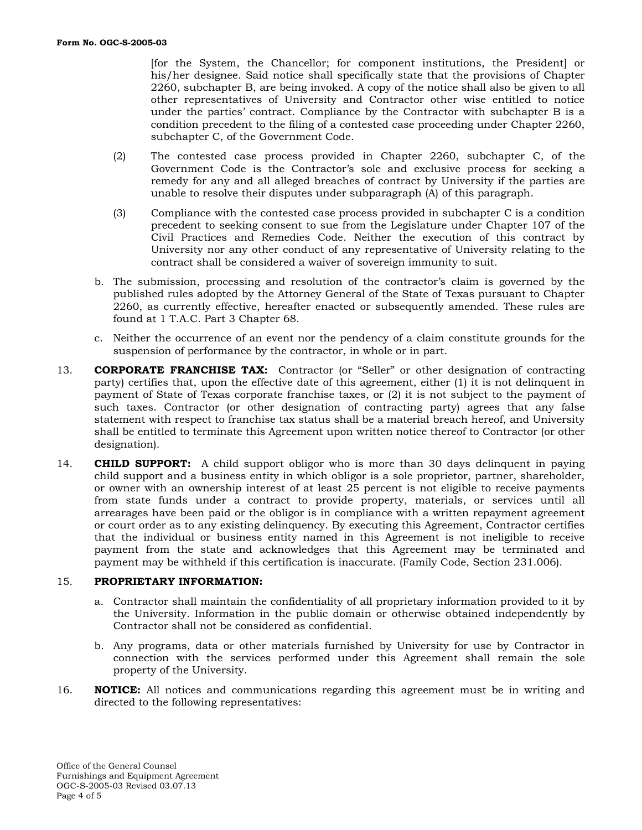[for the System, the Chancellor; for component institutions, the President] or his/her designee. Said notice shall specifically state that the provisions of Chapter 2260, subchapter B, are being invoked. A copy of the notice shall also be given to all other representatives of University and Contractor other wise entitled to notice under the parties' contract. Compliance by the Contractor with subchapter B is a condition precedent to the filing of a contested case proceeding under Chapter 2260, subchapter C, of the Government Code.

- (2) The contested case process provided in Chapter 2260, subchapter C, of the Government Code is the Contractor's sole and exclusive process for seeking a remedy for any and all alleged breaches of contract by University if the parties are unable to resolve their disputes under subparagraph (A) of this paragraph.
- (3) Compliance with the contested case process provided in subchapter C is a condition precedent to seeking consent to sue from the Legislature under Chapter 107 of the Civil Practices and Remedies Code. Neither the execution of this contract by University nor any other conduct of any representative of University relating to the contract shall be considered a waiver of sovereign immunity to suit.
- b. The submission, processing and resolution of the contractor's claim is governed by the published rules adopted by the Attorney General of the State of Texas pursuant to Chapter 2260, as currently effective, hereafter enacted or subsequently amended. These rules are found at 1 T.A.C. Part 3 Chapter 68.
- c. Neither the occurrence of an event nor the pendency of a claim constitute grounds for the suspension of performance by the contractor, in whole or in part.
- 13. **CORPORATE FRANCHISE TAX:** Contractor (or "Seller" or other designation of contracting party) certifies that, upon the effective date of this agreement, either (1) it is not delinquent in payment of State of Texas corporate franchise taxes, or (2) it is not subject to the payment of such taxes. Contractor (or other designation of contracting party) agrees that any false statement with respect to franchise tax status shall be a material breach hereof, and University shall be entitled to terminate this Agreement upon written notice thereof to Contractor (or other designation).
- 14. **CHILD SUPPORT:** A child support obligor who is more than 30 days delinquent in paying child support and a business entity in which obligor is a sole proprietor, partner, shareholder, or owner with an ownership interest of at least 25 percent is not eligible to receive payments from state funds under a contract to provide property, materials, or services until all arrearages have been paid or the obligor is in compliance with a written repayment agreement or court order as to any existing delinquency. By executing this Agreement, Contractor certifies that the individual or business entity named in this Agreement is not ineligible to receive payment from the state and acknowledges that this Agreement may be terminated and payment may be withheld if this certification is inaccurate. (Family Code, Section 231.006).

# 15. **PROPRIETARY INFORMATION:**

- a. Contractor shall maintain the confidentiality of all proprietary information provided to it by the University. Information in the public domain or otherwise obtained independently by Contractor shall not be considered as confidential.
- b. Any programs, data or other materials furnished by University for use by Contractor in connection with the services performed under this Agreement shall remain the sole property of the University.
- 16. **NOTICE:** All notices and communications regarding this agreement must be in writing and directed to the following representatives: